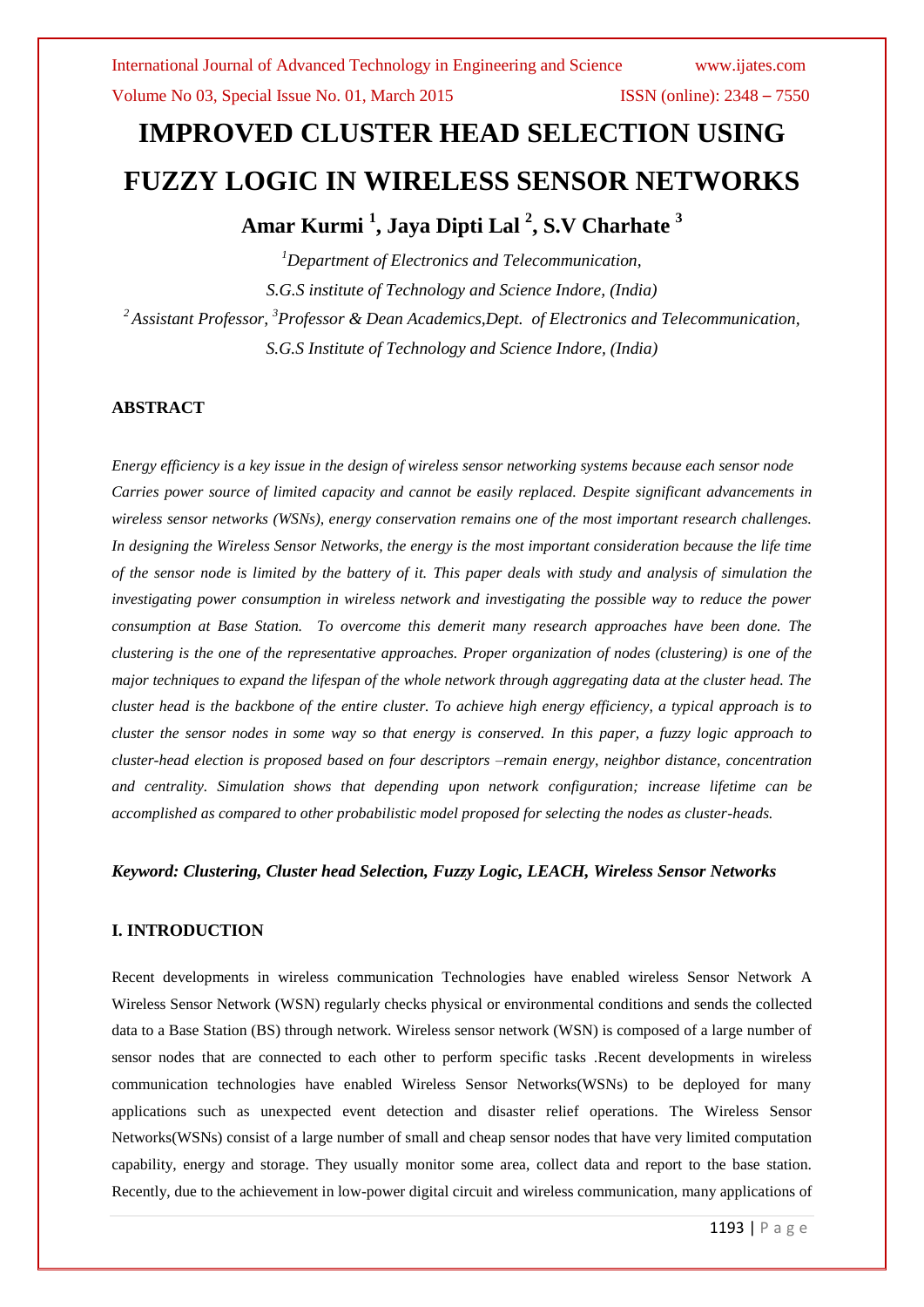# **IMPROVED CLUSTER HEAD SELECTION USING FUZZY LOGIC IN WIRELESS SENSOR NETWORKS Amar Kurmi <sup>1</sup> , Jaya Dipti Lal <sup>2</sup> , S.V Charhate <sup>3</sup>**

*<sup>1</sup>Department of Electronics and Telecommunication, S.G.S institute of Technology and Science Indore, (India) <sup>2</sup>Assistant Professor, <sup>3</sup>Professor & Dean Academics,Dept. of Electronics and Telecommunication, S.G.S Institute of Technology and Science Indore, (India)*

### **ABSTRACT**

*Energy efficiency is a key issue in the design of wireless sensor networking systems because each sensor node Carries power source of limited capacity and cannot be easily replaced. Despite significant advancements in wireless sensor networks (WSNs), energy conservation remains one of the most important research challenges. In designing the Wireless Sensor Networks, the energy is the most important consideration because the life time of the sensor node is limited by the battery of it. This paper deals with study and analysis of simulation the investigating power consumption in wireless network and investigating the possible way to reduce the power consumption at Base Station. To overcome this demerit many research approaches have been done. The clustering is the one of the representative approaches. Proper organization of nodes (clustering) is one of the major techniques to expand the lifespan of the whole network through aggregating data at the cluster head. The cluster head is the backbone of the entire cluster. To achieve high energy efficiency, a typical approach is to cluster the sensor nodes in some way so that energy is conserved. In this paper, a fuzzy logic approach to cluster-head election is proposed based on four descriptors –remain energy, neighbor distance, concentration and centrality. Simulation shows that depending upon network configuration; increase lifetime can be accomplished as compared to other probabilistic model proposed for selecting the nodes as cluster-heads.*

#### *Keyword: Clustering, Cluster head Selection, Fuzzy Logic, LEACH, Wireless Sensor Networks*

#### **I. INTRODUCTION**

Recent developments in wireless communication Technologies have enabled wireless Sensor Network A Wireless Sensor Network (WSN) regularly checks physical or environmental conditions and sends the collected data to a Base Station (BS) through network. Wireless sensor network (WSN) is composed of a large number of sensor nodes that are connected to each other to perform specific tasks .Recent developments in wireless communication technologies have enabled Wireless Sensor Networks(WSNs) to be deployed for many applications such as unexpected event detection and disaster relief operations. The Wireless Sensor Networks(WSNs) consist of a large number of small and cheap sensor nodes that have very limited computation capability, energy and storage. They usually monitor some area, collect data and report to the base station. Recently, due to the achievement in low-power digital circuit and wireless communication, many applications of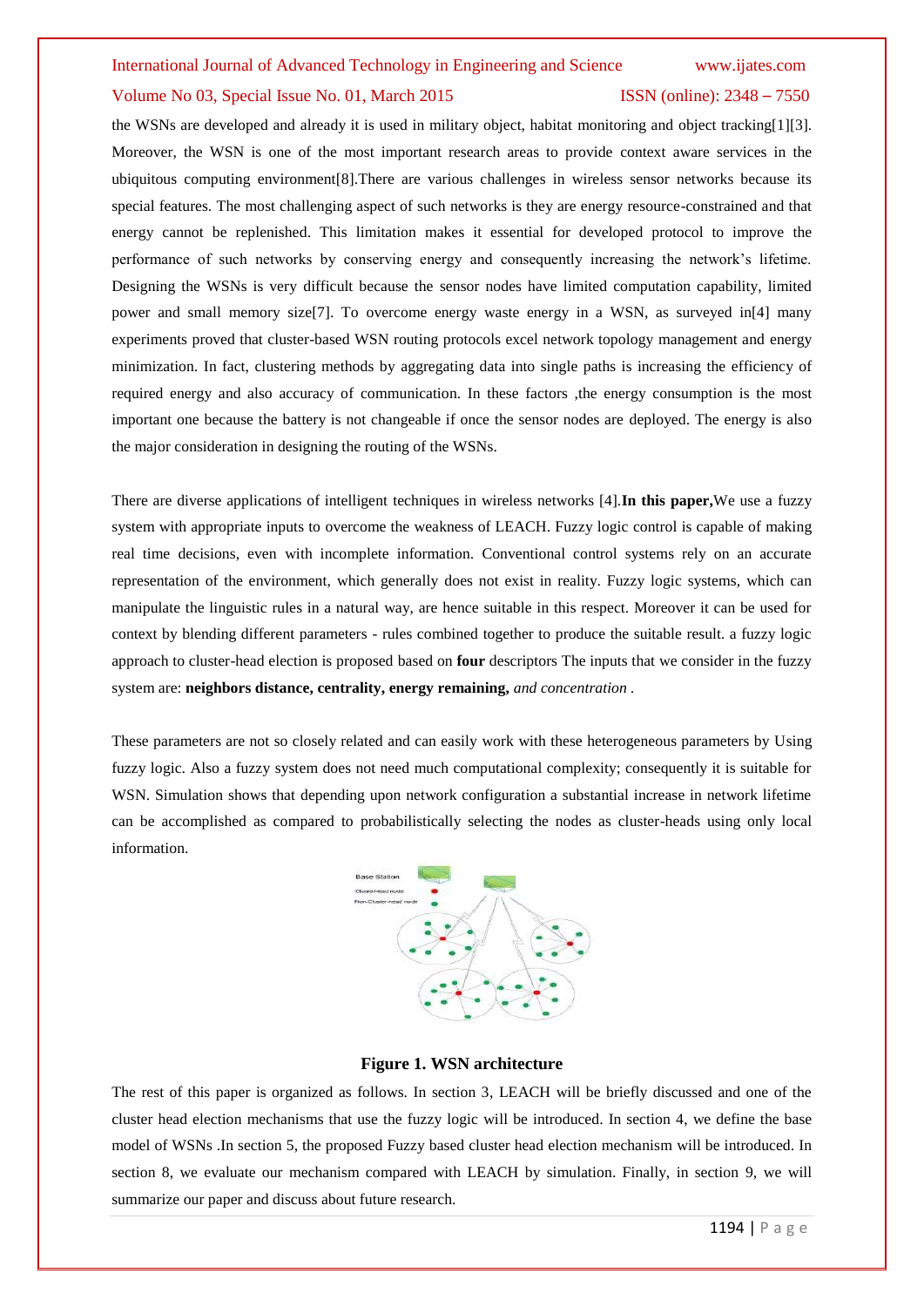#### Volume No 03, Special Issue No. 01, March 2015 ISSN (online): 2348 – 7550

the WSNs are developed and already it is used in military object, habitat monitoring and object tracking[1][3]. Moreover, the WSN is one of the most important research areas to provide context aware services in the ubiquitous computing environment[8].There are various challenges in wireless sensor networks because its special features. The most challenging aspect of such networks is they are energy resource-constrained and that energy cannot be replenished. This limitation makes it essential for developed protocol to improve the performance of such networks by conserving energy and consequently increasing the network's lifetime. Designing the WSNs is very difficult because the sensor nodes have limited computation capability, limited power and small memory size[7]. To overcome energy waste energy in a WSN, as surveyed in[4] many experiments proved that cluster-based WSN routing protocols excel network topology management and energy minimization. In fact, clustering methods by aggregating data into single paths is increasing the efficiency of required energy and also accuracy of communication. In these factors ,the energy consumption is the most important one because the battery is not changeable if once the sensor nodes are deployed. The energy is also the major consideration in designing the routing of the WSNs.

There are diverse applications of intelligent techniques in wireless networks [4].**In this paper,**We use a fuzzy system with appropriate inputs to overcome the weakness of LEACH. Fuzzy logic control is capable of making real time decisions, even with incomplete information. Conventional control systems rely on an accurate representation of the environment, which generally does not exist in reality. Fuzzy logic systems, which can manipulate the linguistic rules in a natural way, are hence suitable in this respect. Moreover it can be used for context by blending different parameters - rules combined together to produce the suitable result. a fuzzy logic approach to cluster-head election is proposed based on **four** descriptors The inputs that we consider in the fuzzy system are: **neighbors distance, centrality, energy remaining,** *and concentration .*

These parameters are not so closely related and can easily work with these heterogeneous parameters by Using fuzzy logic. Also a fuzzy system does not need much computational complexity; consequently it is suitable for WSN. Simulation shows that depending upon network configuration a substantial increase in network lifetime can be accomplished as compared to probabilistically selecting the nodes as cluster-heads using only local information.



### **Figure 1. WSN architecture**

The rest of this paper is organized as follows. In section 3, LEACH will be briefly discussed and one of the cluster head election mechanisms that use the fuzzy logic will be introduced. In section 4, we define the base model of WSNs .In section 5, the proposed Fuzzy based cluster head election mechanism will be introduced. In section 8, we evaluate our mechanism compared with LEACH by simulation. Finally, in section 9, we will summarize our paper and discuss about future research.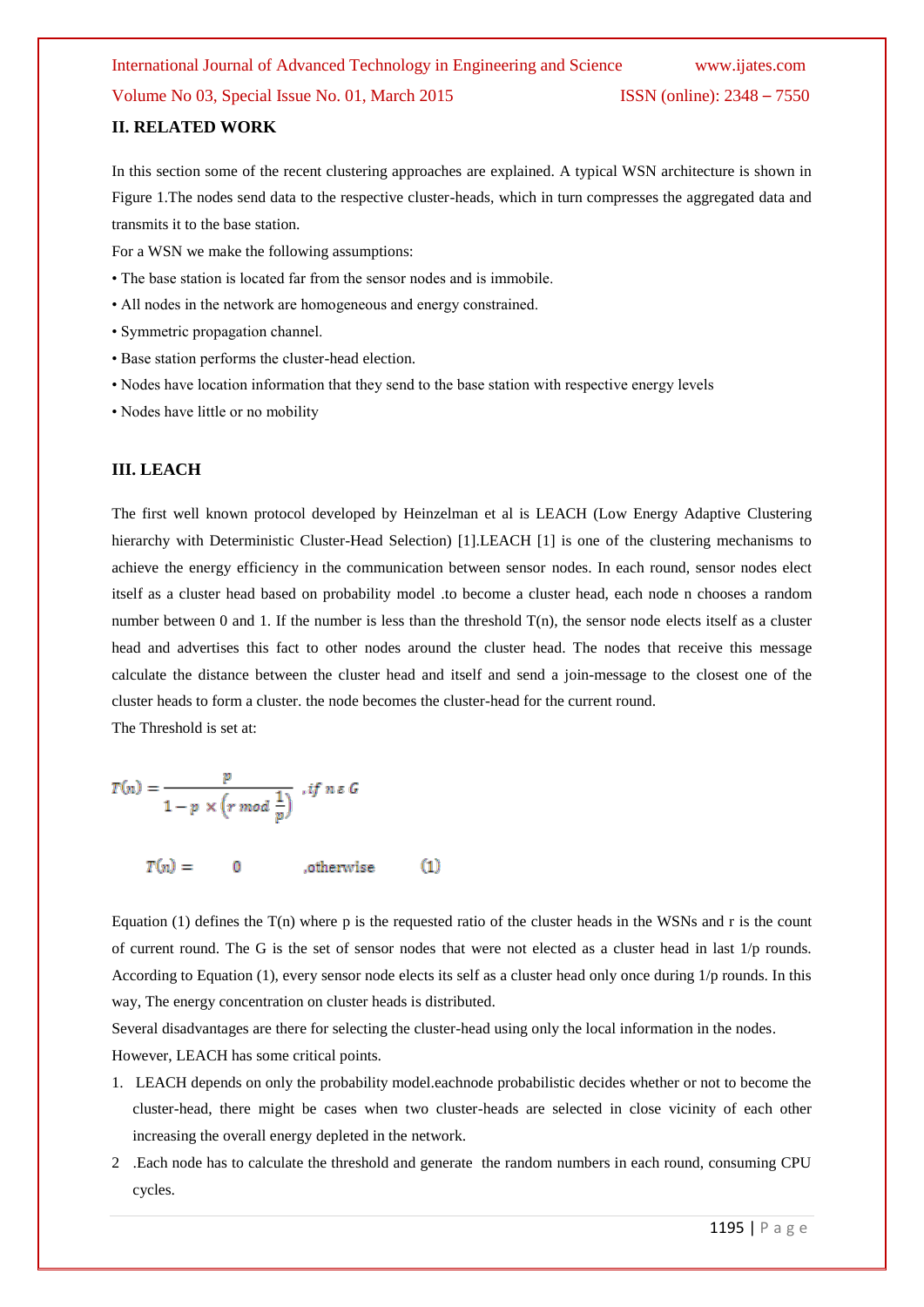### **II. RELATED WORK**

In this section some of the recent clustering approaches are explained. A typical WSN architecture is shown in Figure 1.The nodes send data to the respective cluster-heads, which in turn compresses the aggregated data and transmits it to the base station.

For a WSN we make the following assumptions:

- The base station is located far from the sensor nodes and is immobile.
- All nodes in the network are homogeneous and energy constrained.
- Symmetric propagation channel.
- Base station performs the cluster-head election.
- Nodes have location information that they send to the base station with respective energy levels
- Nodes have little or no mobility

#### **III. LEACH**

The first well known protocol developed by Heinzelman et al is LEACH (Low Energy Adaptive Clustering hierarchy with Deterministic Cluster-Head Selection) [1].LEACH [1] is one of the clustering mechanisms to achieve the energy efficiency in the communication between sensor nodes. In each round, sensor nodes elect itself as a cluster head based on probability model .to become a cluster head, each node n chooses a random number between 0 and 1. If the number is less than the threshold  $T(n)$ , the sensor node elects itself as a cluster head and advertises this fact to other nodes around the cluster head. The nodes that receive this message calculate the distance between the cluster head and itself and send a join-message to the closest one of the cluster heads to form a cluster. the node becomes the cluster-head for the current round.

The Threshold is set at:

$$
T(n) = \frac{p}{1 - p \times (r \mod \frac{1}{p})}, \text{ if } n \in G
$$

$$
T(n) = 0 \qquad \text{otherwise} \qquad (1)
$$

Equation (1) defines the  $T(n)$  where p is the requested ratio of the cluster heads in the WSNs and r is the count of current round. The G is the set of sensor nodes that were not elected as a cluster head in last  $1/p$  rounds. According to Equation (1), every sensor node elects its self as a cluster head only once during 1/p rounds. In this way, The energy concentration on cluster heads is distributed.

Several disadvantages are there for selecting the cluster-head using only the local information in the nodes. However, LEACH has some critical points.

- 1. LEACH depends on only the probability model.eachnode probabilistic decides whether or not to become the cluster-head, there might be cases when two cluster-heads are selected in close vicinity of each other increasing the overall energy depleted in the network.
- 2 .Each node has to calculate the threshold and generate the random numbers in each round, consuming CPU cycles.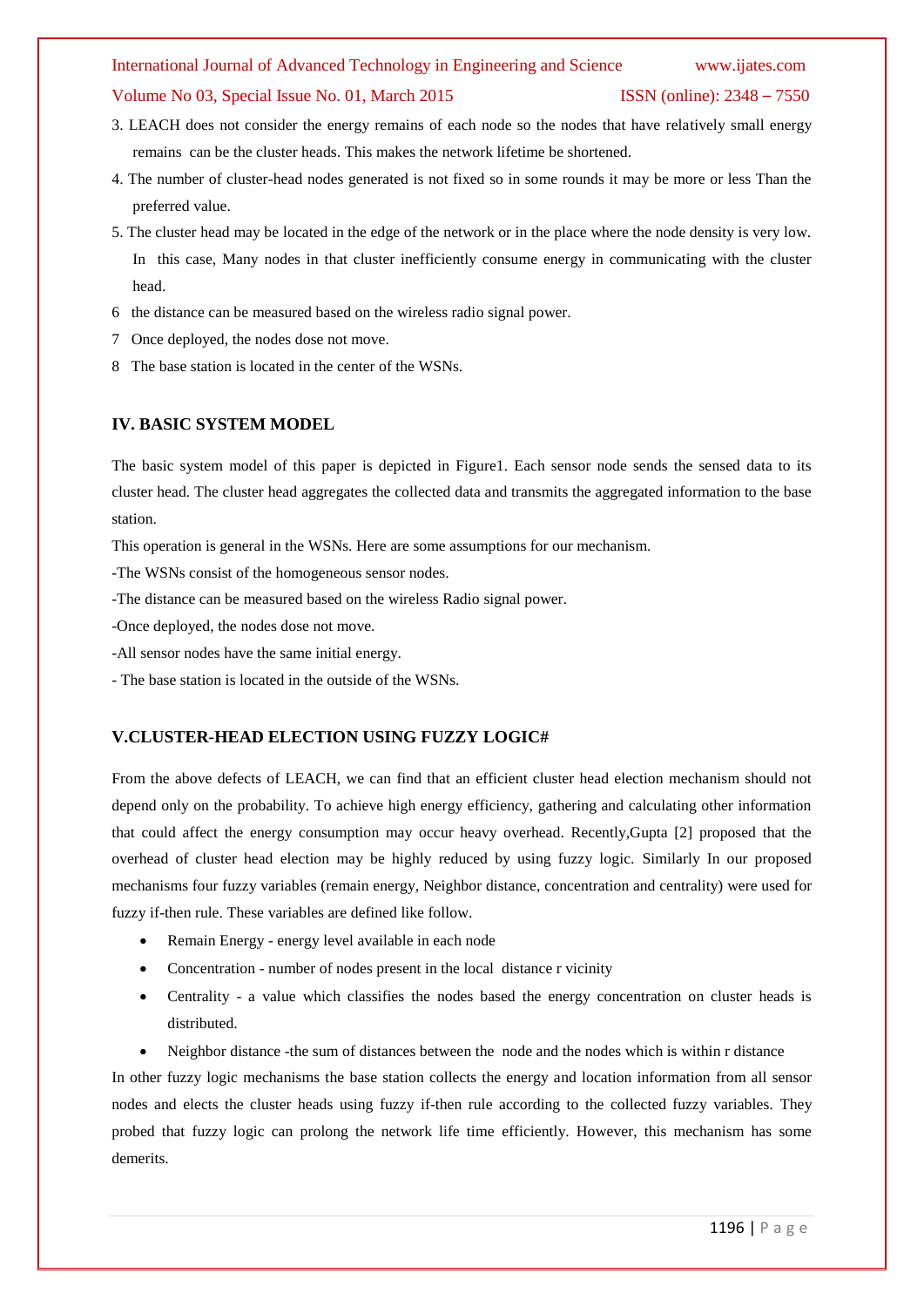#### Volume No 03, Special Issue No. 01, March 2015 ISSN (online): 2348 – 7550

- 3. LEACH does not consider the energy remains of each node so the nodes that have relatively small energy remains can be the cluster heads. This makes the network lifetime be shortened.
- 4. The number of cluster-head nodes generated is not fixed so in some rounds it may be more or less Than the preferred value.
- 5. The cluster head may be located in the edge of the network or in the place where the node density is very low. In this case, Many nodes in that cluster inefficiently consume energy in communicating with the cluster head.
- 6 the distance can be measured based on the wireless radio signal power.
- 7 Once deployed, the nodes dose not move.
- 8 The base station is located in the center of the WSNs.

### **IV. BASIC SYSTEM MODEL**

The basic system model of this paper is depicted in Figure1. Each sensor node sends the sensed data to its cluster head. The cluster head aggregates the collected data and transmits the aggregated information to the base station.

This operation is general in the WSNs. Here are some assumptions for our mechanism.

-The WSNs consist of the homogeneous sensor nodes.

-The distance can be measured based on the wireless Radio signal power.

-Once deployed, the nodes dose not move.

- -All sensor nodes have the same initial energy.
- The base station is located in the outside of the WSNs.

### **V.CLUSTER-HEAD ELECTION USING FUZZY LOGIC#**

From the above defects of LEACH, we can find that an efficient cluster head election mechanism should not depend only on the probability. To achieve high energy efficiency, gathering and calculating other information that could affect the energy consumption may occur heavy overhead. Recently,Gupta [2] proposed that the overhead of cluster head election may be highly reduced by using fuzzy logic. Similarly In our proposed mechanisms four fuzzy variables (remain energy, Neighbor distance, concentration and centrality) were used for fuzzy if-then rule. These variables are defined like follow.

- Remain Energy energy level available in each node
- Concentration number of nodes present in the local distance r vicinity
- Centrality a value which classifies the nodes based the energy concentration on cluster heads is distributed.
- Neighbor distance -the sum of distances between the node and the nodes which is within r distance

In other fuzzy logic mechanisms the base station collects the energy and location information from all sensor nodes and elects the cluster heads using fuzzy if-then rule according to the collected fuzzy variables. They probed that fuzzy logic can prolong the network life time efficiently. However, this mechanism has some demerits.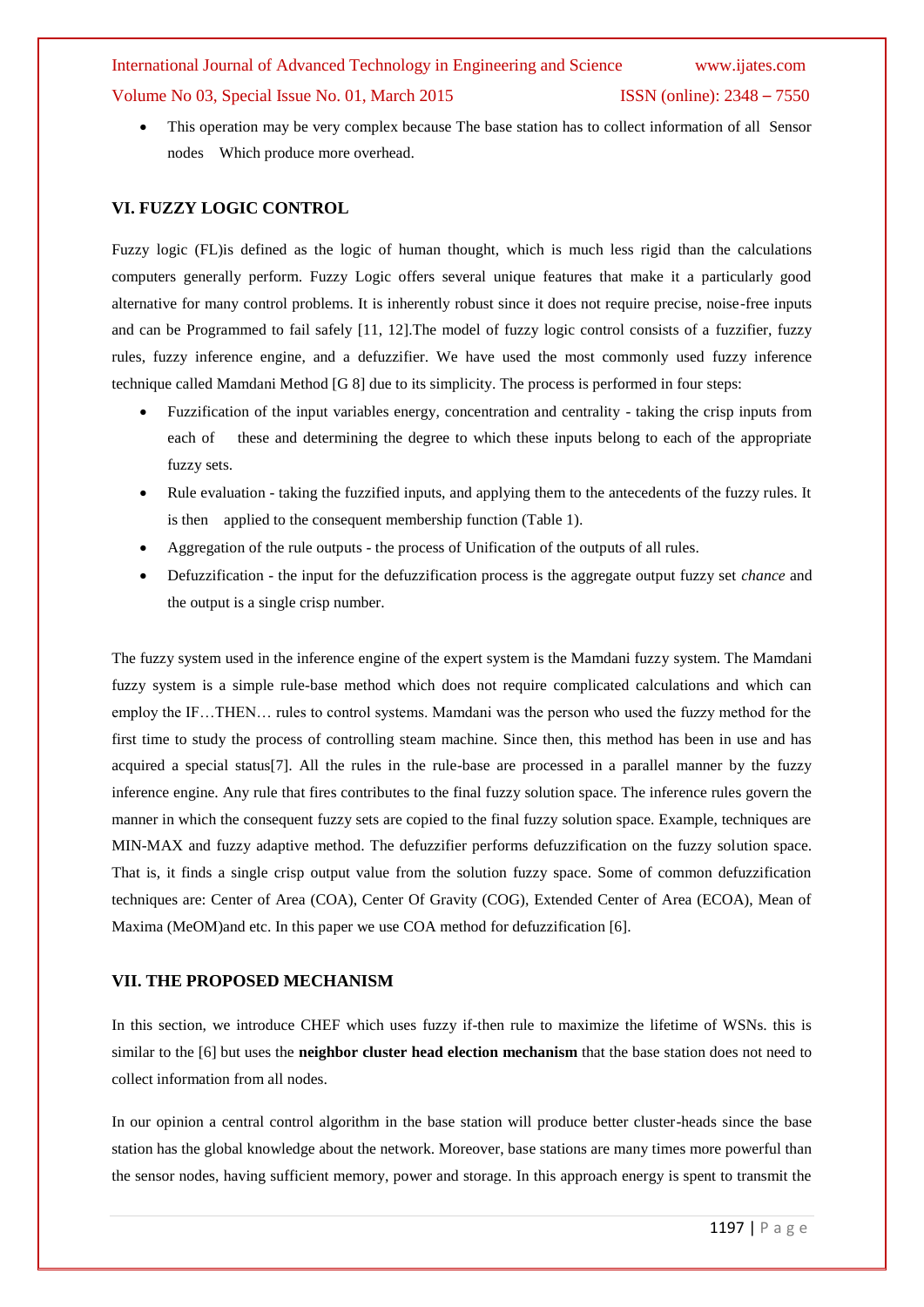This operation may be very complex because The base station has to collect information of all Sensor nodes Which produce more overhead.

### **VI. FUZZY LOGIC CONTROL**

Fuzzy logic (FL)is defined as the logic of human thought, which is much less rigid than the calculations computers generally perform. Fuzzy Logic offers several unique features that make it a particularly good alternative for many control problems. It is inherently robust since it does not require precise, noise-free inputs and can be Programmed to fail safely [11, 12].The model of fuzzy logic control consists of a fuzzifier, fuzzy rules, fuzzy inference engine, and a defuzzifier. We have used the most commonly used fuzzy inference technique called Mamdani Method [G 8] due to its simplicity. The process is performed in four steps:

- Fuzzification of the input variables energy, concentration and centrality taking the crisp inputs from each of these and determining the degree to which these inputs belong to each of the appropriate fuzzy sets.
- Rule evaluation taking the fuzzified inputs, and applying them to the antecedents of the fuzzy rules. It is then applied to the consequent membership function (Table 1).
- Aggregation of the rule outputs the process of Unification of the outputs of all rules.
- Defuzzification the input for the defuzzification process is the aggregate output fuzzy set *chance* and the output is a single crisp number.

The fuzzy system used in the inference engine of the expert system is the Mamdani fuzzy system. The Mamdani fuzzy system is a simple rule-base method which does not require complicated calculations and which can employ the IF…THEN… rules to control systems. Mamdani was the person who used the fuzzy method for the first time to study the process of controlling steam machine. Since then, this method has been in use and has acquired a special status<sup>[7]</sup>. All the rules in the rule-base are processed in a parallel manner by the fuzzy inference engine. Any rule that fires contributes to the final fuzzy solution space. The inference rules govern the manner in which the consequent fuzzy sets are copied to the final fuzzy solution space. Example, techniques are MIN-MAX and fuzzy adaptive method. The defuzzifier performs defuzzification on the fuzzy solution space. That is, it finds a single crisp output value from the solution fuzzy space. Some of common defuzzification techniques are: Center of Area (COA), Center Of Gravity (COG), Extended Center of Area (ECOA), Mean of Maxima (MeOM)and etc. In this paper we use COA method for defuzzification [6].

### **VII. THE PROPOSED MECHANISM**

In this section, we introduce CHEF which uses fuzzy if-then rule to maximize the lifetime of WSNs. this is similar to the [6] but uses the **neighbor cluster head election mechanism** that the base station does not need to collect information from all nodes.

In our opinion a central control algorithm in the base station will produce better cluster-heads since the base station has the global knowledge about the network. Moreover, base stations are many times more powerful than the sensor nodes, having sufficient memory, power and storage. In this approach energy is spent to transmit the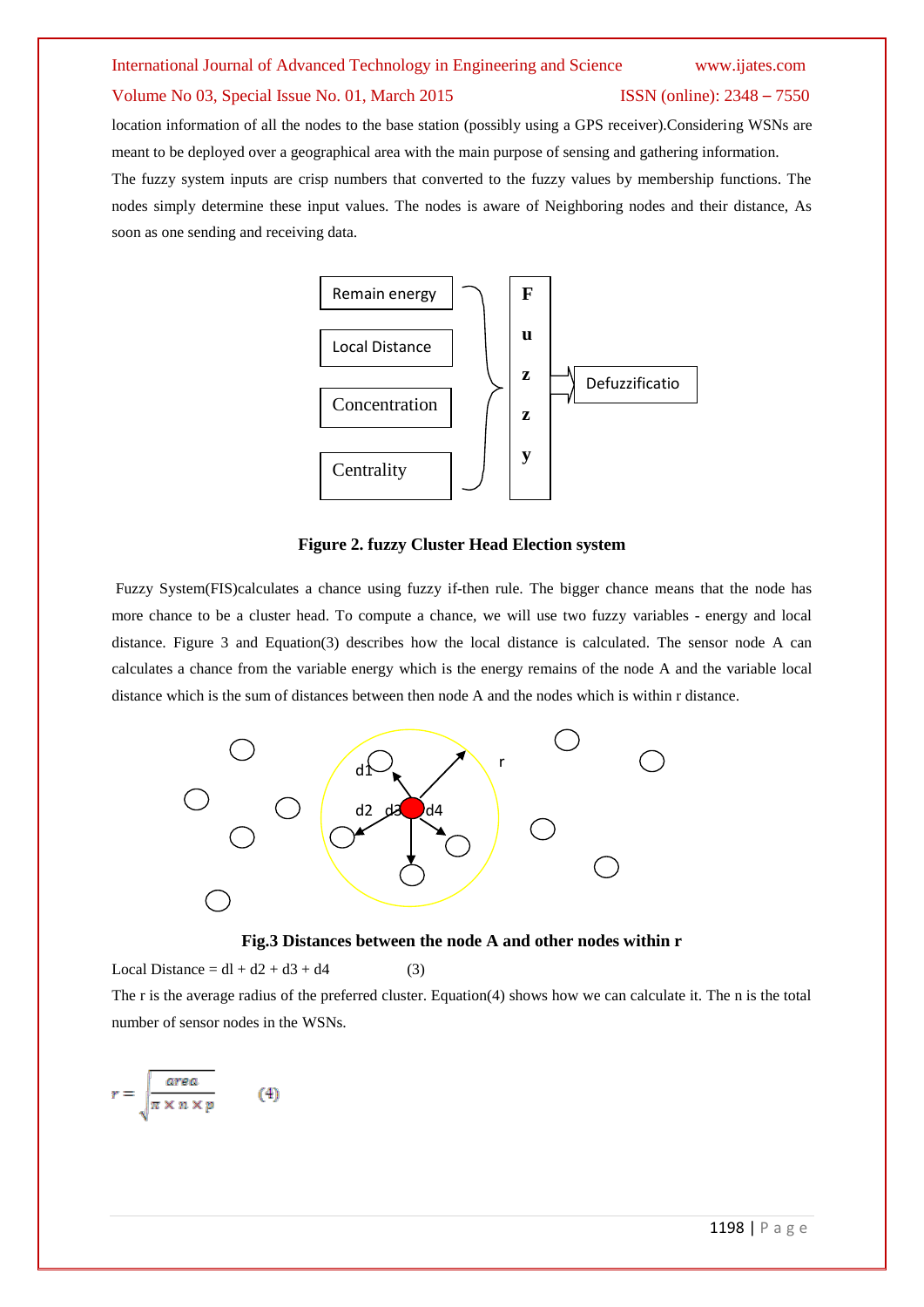location information of all the nodes to the base station (possibly using a GPS receiver).Considering WSNs are meant to be deployed over a geographical area with the main purpose of sensing and gathering information.

The fuzzy system inputs are crisp numbers that converted to the fuzzy values by membership functions. The nodes simply determine these input values. The nodes is aware of Neighboring nodes and their distance, As soon as one sending and receiving data.



**Figure 2. fuzzy Cluster Head Election system F**

Fuzzy System(FIS)calculates a chance using fuzzy if-then rule. The bigger chance means that the node has more chance to be a cluster head. To compute a chance, we will use two fuzzy variables - energy and local **S** distance. Figure 3 and Equation(3) describes how the local distance is calculated. The sensor node A can calculates a chance from the variable energy which is the energy remains of the node A and the variable local distance which is the sum of distances between then node A and the nodes which is within r distance.



**Fig.3 Distances between the node A and other nodes within r**

Local Distance =  $dl + d2 + d3 + d4$  (3)

The r is the average radius of the preferred cluster. Equation(4) shows how we can calculate it. The n is the total number of sensor nodes in the WSNs.

$$
r = \sqrt{\frac{\text{area}}{\pi \times n \times p}} \qquad (4)
$$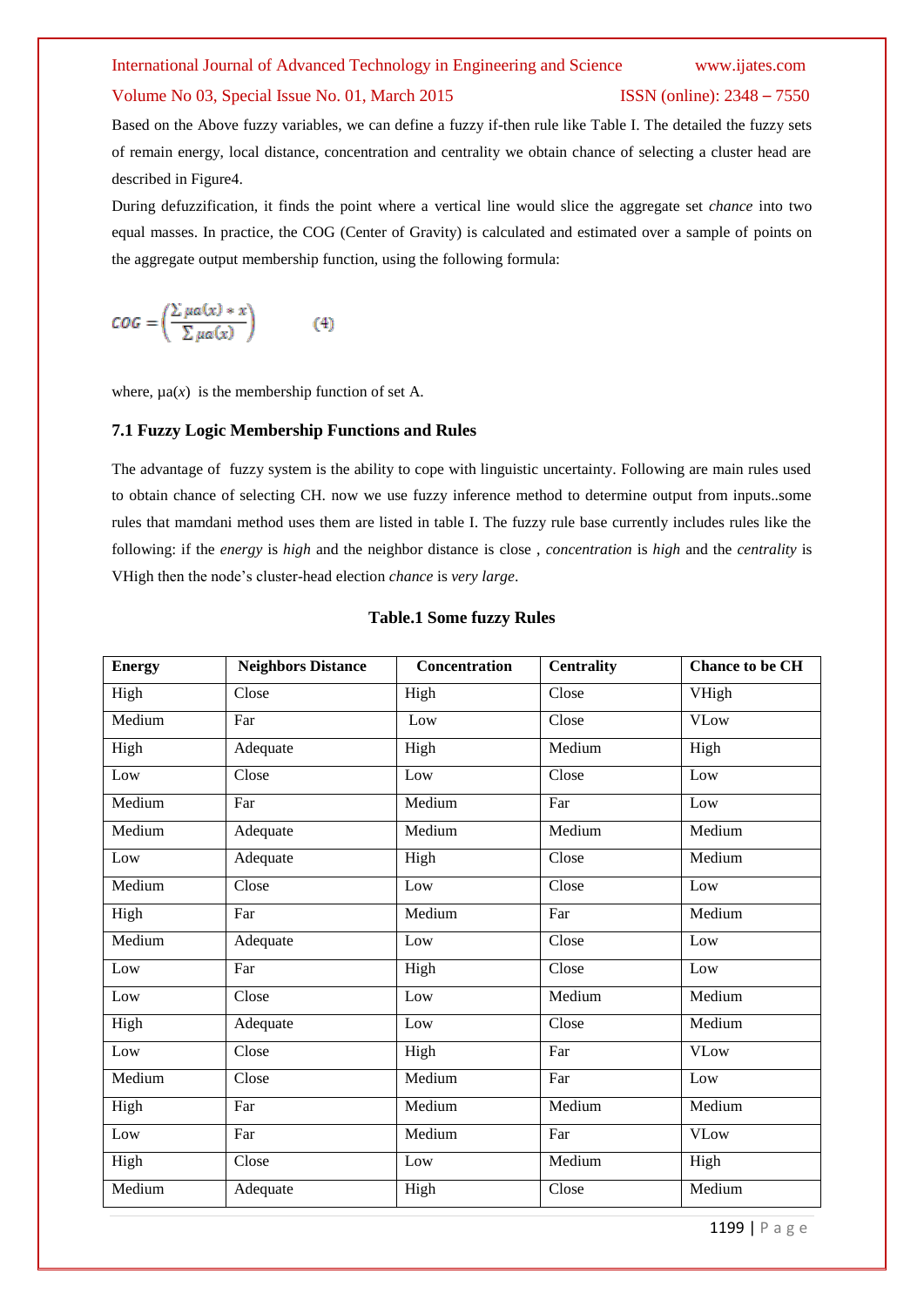#### Volume No 03, Special Issue No. 01, March 2015 **ISSN** (online): 2348 – 7550

Based on the Above fuzzy variables, we can define a fuzzy if-then rule like Table I. The detailed the fuzzy sets of remain energy, local distance, concentration and centrality we obtain chance of selecting a cluster head are described in Figure4.

During defuzzification, it finds the point where a vertical line would slice the aggregate set *chance* into two equal masses. In practice, the COG (Center of Gravity) is calculated and estimated over a sample of points on the aggregate output membership function, using the following formula:

$$
COG = \left(\frac{\sum \mu a(x) * x}{\sum \mu a(x)}\right) \tag{4}
$$

where,  $\mu a(x)$  is the membership function of set A.

#### **7.1 Fuzzy Logic Membership Functions and Rules**

The advantage of fuzzy system is the ability to cope with linguistic uncertainty. Following are main rules used to obtain chance of selecting CH. now we use fuzzy inference method to determine output from inputs..some rules that mamdani method uses them are listed in table I. The fuzzy rule base currently includes rules like the following: if the *energy* is *high* and the neighbor distance is close , *concentration* is *high* and the *centrality* is VHigh then the node's cluster-head election *chance* is *very large*.

| <b>Energy</b> | <b>Neighbors Distance</b> | <b>Concentration</b> | <b>Centrality</b> | <b>Chance to be CH</b> |
|---------------|---------------------------|----------------------|-------------------|------------------------|
| High          | Close                     | High                 | Close             | VHigh                  |
| Medium        | Far                       | Low                  | Close             | <b>VLow</b>            |
| High          | Adequate                  | High                 | Medium            | High                   |
| Low           | Close                     | Low                  | Close             | Low                    |
| Medium        | Far                       | Medium               | Far               | Low                    |
| Medium        | Adequate                  | Medium               | Medium            | Medium                 |
| Low           | Adequate                  | High                 | Close             | Medium                 |
| Medium        | Close                     | Low                  | Close             | Low                    |
| High          | Far                       | Medium               | Far               | Medium                 |
| Medium        | Adequate                  | Low                  | Close             | Low                    |
| Low           | Far                       | High                 | Close             | Low                    |
| Low           | Close                     | Low                  | Medium            | Medium                 |
| High          | Adequate                  | Low                  | Close             | Medium                 |
| Low           | Close                     | High                 | Far               | <b>VLow</b>            |
| Medium        | Close                     | Medium               | Far               | Low                    |
| High          | Far                       | Medium               | Medium            | Medium                 |
| Low           | Far                       | Medium               | Far               | <b>VLow</b>            |
| High          | Close                     | Low                  | Medium            | High                   |
| Medium        | Adequate                  | High                 | Close             | Medium                 |

#### **Table.1 Some fuzzy Rules**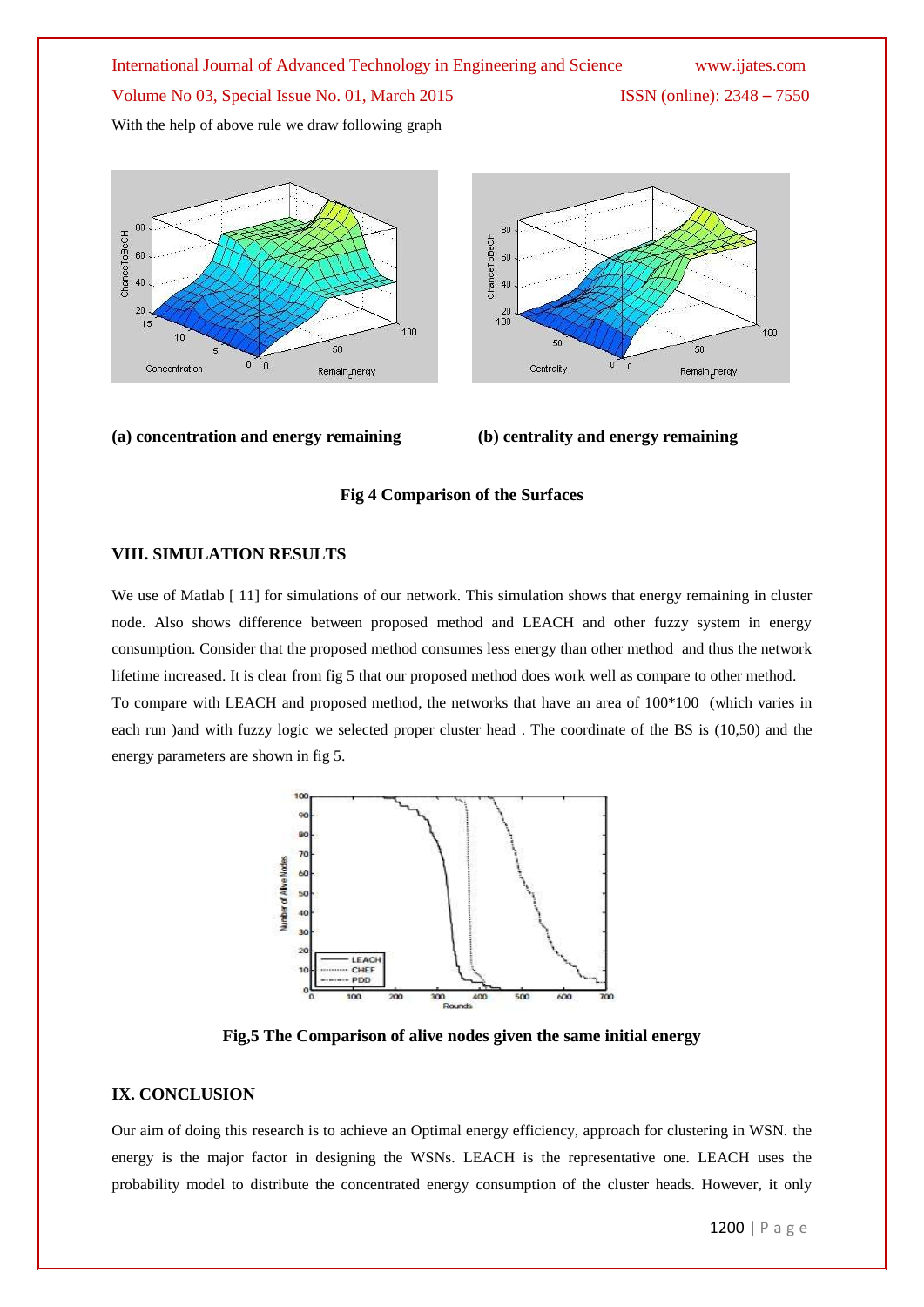With the help of above rule we draw following graph



### **(a) concentration and energy remaining (b) centrality and energy remaining**



#### **Fig 4 Comparison of the Surfaces**

#### **VIII. SIMULATION RESULTS**

We use of Matlab [11] for simulations of our network. This simulation shows that energy remaining in cluster node. Also shows difference between proposed method and LEACH and other fuzzy system in energy consumption. Consider that the proposed method consumes less energy than other method and thus the network lifetime increased. It is clear from fig 5 that our proposed method does work well as compare to other method. To compare with LEACH and proposed method, the networks that have an area of 100\*100 (which varies in each run )and with fuzzy logic we selected proper cluster head . The coordinate of the BS is (10,50) and the energy parameters are shown in fig 5.



**Fig,5 The Comparison of alive nodes given the same initial energy**

### **IX. CONCLUSION**

Our aim of doing this research is to achieve an Optimal energy efficiency, approach for clustering in WSN. the energy is the major factor in designing the WSNs. LEACH is the representative one. LEACH uses the probability model to distribute the concentrated energy consumption of the cluster heads. However, it only